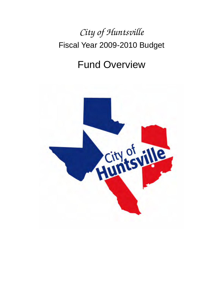# *City of Huntsville*  Fiscal Year 2009-2010 Budget

# Fund Overview

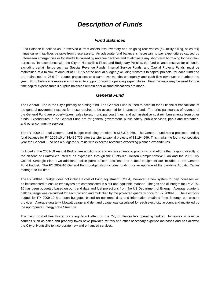# *Description of Funds*

## *Fund Balances*

Fund Balance is defined as unreserved current assets less inventory and on-going receivables (ex. utility billing, sales tax) minus current liabilities payable from these assets. An adequate fund balance is necessary to pay expenditures caused by unforeseen emergencies or for shortfalls caused by revenue declines and to eliminate any short-term borrowing for cash flow purposes. In accordance with the City of Huntsville's Fiscal and Budgetary Policies, the fund balance reserve for all funds, excluding certain funds such as Special Revenue Funds, Internal Service Funds, and Capital Projects Funds, must be maintained at a minimum amount of 16.67% of the annual budget (excluding transfers to capital projects) for each fund and are maintained at 25% for budget projections to assume two months emergency and cash flow revenues throughout the year. Fund balance reserves are not used to support on-going operating expenditures. Fund Balance may be used for one time capital expenditures if surplus balances remain after all fund allocations are made.

# *General Fund*

The General Fund is the City's primary operating fund. The General Fund is used to account for all financial transactions of the general government expect for those required to be accounted for in another fund. The principal sources of revenue of the General Fund are property taxes, sales taxes, municipal court fines, and administrative cost reimbursements from other funds. Expenditures in the General Fund are for general government, public safety, public services, parks and recreation, and other community services.

The FY 2009-10 total General Fund budget excluding transfers is \$16,378,269. The General Fund has a projected ending fund balance for FY 2009-10 of \$4,489,735 after transfer to capital projects of \$1,194,699. This marks the fourth consecutive year the General Fund has a budgeted surplus with expected revenues exceeding planned expenditures.

Included in the 2009-10 Annual Budget are additions of and enhancements to programs, and efforts that respond directly to the citizens of Huntsville's interest as expressed through the Huntsville Horizon Comprehensive Plan and the 2009 City Council Strategic Plan. Two additional police patrol officers positions and related equipment are included in the General Fund budget. The FY 2009-10 General Fund budget also includes funding for an upgrade of the part-time Aquatic Center manager to full-time.

The FY 2009-10 budget does not include a cost of living adjustment (COLA); however, a new system for pay increases will be implemented to ensure employees are compensated in a fair and equitable manner. The gas and oil budget for FY 2009- 10 has been budgeted based on our trend data and fuel projections from the US Department of Energy. Average quarterly gallons usage was calculated for each division and multiplied by the projected quarterly price for FY 2009-10. The electricity budget for FY 2009-10 has been budgeted based on our trend data and information obtained from Entergy, our electric provider. Average quarterly kilowatt usage and demand usage was calculated for each electricity account and multiplied by the appropriate Entergy Rate Structure.

The rising cost of healthcare has a significant effect on the City of Huntsville's operating budget. Increases in revenue sources such as sales and property taxes have provided for this and other necessary expense increases and has allowed the City of Huntsville to incorporate new and enhanced services.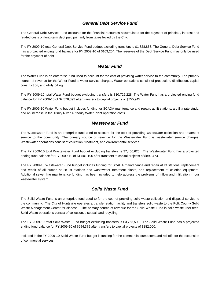# *General Debt Service Fund*

The General Debt Service Fund accounts for the financial resources accumulated for the payment of principal, interest and related costs on long-term debt paid primarily from taxes levied by the City.

The FY 2009-10 total General Debt Service Fund budget excluding transfers is \$1,828,868. The General Debt Service Fund has a projected ending fund balance for FY 2009-10 of \$103,204. The reserves of the Debt Service Fund may only be used for the payment of debt.

# *Water Fund*

The Water Fund is an enterprise fund used to account for the cost of providing water service to the community. The primary source of revenue for the Water Fund is water service charges. Water operations consist of production, distribution, capital construction, and utility billing.

The FY 2009-10 total Water Fund budget excluding transfers is \$10,726,228. The Water Fund has a projected ending fund balance for FY 2009-10 of \$2,378,893 after transfers to capital projects of \$755,945.

The FY 2009-10 Water Fund budget includes funding for SCADA maintenance and repairs at lift stations, a utility rate study, and an increase in the Trinity River Authority Water Plant operation costs.

# *Wastewater Fund*

The Wastewater Fund is an enterprise fund used to account for the cost of providing wastewater collection and treatment service to the community. The primary source of revenue for the Wastewater Fund is wastewater service charges. Wastewater operations consist of collection, treatment, and environmental services.

The FY 2009-10 total Wastewater Fund budget excluding transfers is \$7,450,626. The Wastewater Fund has a projected ending fund balance for FY 2009-10 of \$1,501,196 after transfers to capital projects of \$892,473.

The FY 2009-10 Wastewater Fund budget includes funding for SCADA maintenance and repair at lift stations, replacement and repair of all pumps at 28 lift stations and wastewater treatment plants, and replacement of chlorine equipment. Additional sewer line maintenance funding has been included to help address the problems of inflow and infiltration in our wastewater system.

# *Solid Waste Fund*

The Solid Waste Fund is an enterprise fund used to for the cost of providing solid waste collection and disposal service to the community. The City of Huntsville operates a transfer station facility and transfers solid waste to the Polk County Solid Waste Management Center for disposal. The primary source of revenue for the Solid Waste Fund is solid waste user fees. Solid Waste operations consist of collection, disposal, and recycling.

The FY 2009-10 total Solid Waste Fund budget excluding transfers is \$3,755,509. The Solid Waste Fund has a projected ending fund balance for FY 2009-10 of \$694,379 after transfers to capital projects of \$182,000.

Included in the FY 2009-10 Solid Waste Fund budget is funding for the commercial dumpsters and roll-offs for the expansion of commercial services.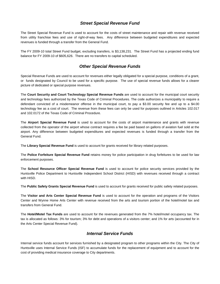# *Street Special Revenue Fund*

The Street Special Revenue Fund is used to account for the costs of street maintenance and repair with revenue received from utility franchise fees and use of right-of-way fees. Any difference between budgeted expenditures and expected revenues is funded through a transfer from the General Fund.

The FY 2009-10 total Street Fund budget, excluding transfers, is \$3,138,231. The Street Fund has a projected ending fund balance for FY 2009-10 of \$605,626. There are no transfers to capital scheduled.

# *Other Special Revenue Funds*

Special Revenue Funds are used to account for revenues either legally obligated for a special purpose, conditions of a grant, or funds designated by Council to be used for a specific purpose. The use of special revenue funds allows for a clearer picture of dedicated or special purpose revenues.

The **Court Security and Court Technology Special Revenue Funds** are used to account for the municipal court security and technology fees authorized by the Texas Code of Criminal Procedures. The code authorizes a municipality to require a defendant convicted of a misdemeanor offense in the municipal court, to pay a \$3.00 security fee and up to a \$4.00 technology fee as a cost of court. The revenue from these fees can only be used for purposes outlined in Articles 102.017 and 102.0172 of the Texas Code of Criminal Procedure.

The **Airport Special Revenue Fund** is used to account for the costs of airport maintenance and grants with revenue collected from the operator of the airport whose contract requires a fee be paid based on gallons of aviation fuel sold at the airport. Any difference between budgeted expenditures and expected revenues is funded through a transfer from the General Fund.

The **Library Special Revenue Fund** is used to account for grants received for library related purposes.

The **Police Forfeiture Special Revenue Fund** retains money for police participation in drug forfeitures to be used for law enforcement purposes.

The **School Resource Officer Special Revenue Fund** is used to account for police security services provided by the Huntsville Police Department to Huntsville Independent School District (HISD) with revenues received through a contract with HISD.

The **Public Safety Grants Special Revenue Fund** is used to account for grants received for public safety related purposes.

The **Visitor and Arts Center Special Revenue Fund** is used to account for the operation and programs of the Visitors Center and Wynne Home Arts Center with revenue received from the arts and tourism portion of the hotel/motel tax and transfers from General Fund.

The **Hotel/Motel Tax Funds** are used to account for the revenues generated from the 7% hotel/motel occupancy tax. The tax is allocated as follows: 3% for tourism; 3% for debt and operations of a visitors center; and 1% for arts (accounted for in the Arts Center Special Revenue Fund).

# *Internal Service Funds*

Internal service funds account for services furnished by a designated program to other programs within the City. The City of Huntsville uses Internal Service Funds (ISF) to accumulate funds for the replacement of equipment and to account for the cost of providing medical insurance coverage to City departments.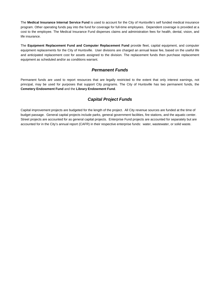The **Medical Insurance Internal Service Fund** is used to account for the City of Huntsville's self funded medical insurance program. Other operating funds pay into the fund for coverage for full-time employees. Dependent coverage is provided at a cost to the employee. The Medical Insurance Fund disperses claims and administration fees for health, dental, vision, and life insurance.

The **Equipment Replacement Fund and Computer Replacement Fund** provide fleet, capital equipment, and computer equipment replacements for the City of Huntsville. User divisions are charged an annual lease fee, based on the useful life and anticipated replacement cost for assets assigned to the division. The replacement funds then purchase replacement equipment as scheduled and/or as conditions warrant.

# *Permanent Funds*

Permanent funds are used to report resources that are legally restricted to the extent that only interest earnings, not principal, may be used for purposes that support City programs. The City of Huntsville has two permanent funds, the **Cemetery Endowment Fund** and the **Library Endowment Fund**.

# *Capital Project Funds*

Capital improvement projects are budgeted for the length of the project. All City revenue sources are funded at the time of budget passage. General capital projects include parks, general government facilities, fire stations, and the aquatic center. Street projects are accounted for as general capital projects. Enterprise Fund projects are accounted for separately but are accounted for in the City's annual report (CAFR) in their respective enterprise funds: water, wastewater, or solid waste.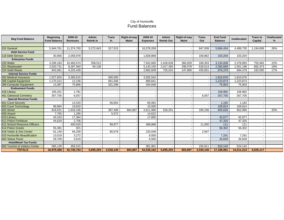### City of Huntsville Fund Balances

| <b>Beg Fund Balance</b>       | <b>Beginning</b><br><b>Fund Balance</b> | 2009-10<br><b>Revenues</b> | <b>Admin</b><br><b>Reimb In</b> | <b>Trans</b><br>In. | Right-of-way<br><b>Maint</b> | 2009-10<br><b>Expenses</b> | <b>Admin</b><br><b>Reimb Out</b> | Right-of-way<br><b>Maint</b> | <b>Trans</b><br>Out | <b>End Fund</b><br><b>Balance</b> | <b>Unallocated</b> | <b>Trans to</b><br>Capital | <b>Unallocated</b><br>% |
|-------------------------------|-----------------------------------------|----------------------------|---------------------------------|---------------------|------------------------------|----------------------------|----------------------------------|------------------------------|---------------------|-----------------------------------|--------------------|----------------------------|-------------------------|
|                               |                                         |                            |                                 |                     |                              |                            |                                  |                              |                     |                                   |                    |                            |                         |
| 101 General                   | 5,944,761                               | 11,374,793                 | 5,272,643                       | 317,515             |                              | 16,378,269                 |                                  |                              | 847,009             | 5,684,434                         | 4,489,735          | 1,194,699                  | 26%                     |
| <b>Debt Service Fund</b>      |                                         |                            |                                 |                     |                              |                            |                                  |                              |                     |                                   |                    |                            |                         |
| 116 Debt Service              | 30,956                                  | 2,059,978                  |                                 |                     |                              | 1.828.868                  |                                  |                              | 158.862             | 103,204                           | 103.204            |                            |                         |
| <b>Enterprise Funds</b>       |                                         |                            |                                 |                     |                              |                            |                                  |                              |                     |                                   |                    |                            |                         |
| 220 Water                     | 3,208,183                               | 10,483,674                 | 358,512                         |                     |                              | 7,932,660                  | 2,426,639                        | 366,929                      | 189,303             | 3,134,838                         | 2,378,893          | 755,945                    | 22%                     |
| 221 Wastewater                | 2,020,731                               | 8,287,940                  | 64,138                          |                     |                              | 5,143,155                  | 2,017,393                        | 290,078                      | 528,514             | 2,393,669                         | .501,196           | 892,473                    | 19%                     |
| 224 Solid Waste               | 842,061                                 | 4,225,428                  |                                 |                     |                              | 2,882,609                  | 725,010                          | 147,890                      | 435,601             | 876,379                           | 694,379            | 182,000                    | 17%                     |
| <b>Internal Service Funds</b> |                                         |                            |                                 |                     |                              |                            |                                  |                              |                     |                                   |                    |                            |                         |
| 302 Medical Insurance         | 1.527.603                               | 3.285.615                  |                                 | 300.000             |                              | 3.302.542                  |                                  |                              |                     | 1.810.676                         | .810.676           |                            |                         |
| 306 Capital Equipment         | 1,170,312                               | 12,156                     |                                 | 941,046             |                              | 899,641                    |                                  |                              |                     | 1,223,873                         | 1,223,873          |                            |                         |
| 309 Computer Equipment        | 13,387                                  | 75,866                     |                                 | 331,298             |                              | 344,648                    |                                  |                              |                     | 75,903                            | 75,903             |                            |                         |
| <b>Endowment Funds</b>        |                                         |                            |                                 |                     |                              |                            |                                  |                              |                     |                                   |                    |                            |                         |
| 418 Library                   | 105,201                                 | 1,781                      |                                 |                     |                              |                            |                                  |                              |                     | 106,982                           | 106,982            |                            |                         |
| 461 Oakwood Cemeterv          | 357,705                                 | 6.057                      |                                 |                     |                              |                            |                                  |                              | 6.057               | 357.705                           | 357.705            |                            |                         |
| <b>Special Revenue Funds</b>  |                                         |                            |                                 |                     |                              |                            |                                  |                              |                     |                                   |                    |                            |                         |
| 601 Court Security            |                                         | 14,520                     |                                 | 56,654              |                              | 69,992                     |                                  |                              |                     | 1,182                             | 1.182              |                            |                         |
| 602 Court Technology          | 99,994                                  | 19,820                     |                                 |                     |                              | 10,000                     |                                  |                              |                     | 109,814                           | 109,814            |                            |                         |
| 603 Street                    | 818,531                                 | 1,918,166                  |                                 | 397,499             | 804,897                      | 2,611,980                  | 526,251                          |                              | 195,236             | 605,626                           | 652,995            |                            | 20%                     |
| 609 Airport                   | 7,765                                   | 1,285                      |                                 | 5,572               |                              | 14,622                     |                                  |                              |                     |                                   |                    |                            |                         |
| 610 Library                   | 43,163                                  | 17,364                     |                                 |                     |                              | 17,850                     |                                  |                              |                     | 42,677                            | 42,677             |                            |                         |
| 611 Police Forfeiture         | 44,619                                  | 2,706                      |                                 |                     |                              |                            |                                  |                              |                     | 47,325                            | 47,325             |                            |                         |
| 612 School Resource Officers  |                                         | 400.020                    |                                 | 99.977              |                              | 488.886                    |                                  |                              | 11,000              | 111                               | 111                |                            |                         |
| <b>614 Police Grants</b>      | 55,381                                  | 921                        |                                 |                     |                              |                            |                                  |                              |                     | 56,302                            | 56,302             |                            |                         |
| 618 Visitor & Arts Center     | 61,149                                  | 94,258                     |                                 | 80,579              |                              | 233,039                    |                                  |                              | 2,947               |                                   |                    |                            |                         |
| 625 Huntsville Beautification | 13,019                                  | 3,272                      |                                 |                     |                              | 9,000                      |                                  |                              |                     | 7,291                             | 7,291              |                            |                         |
| 665 Statue Paver              | 29,709                                  | 3,619                      |                                 |                     |                              | 6,500                      |                                  |                              |                     | 26,828                            | 26,828             |                            |                         |
| <b>Hotel/Motel Tax Funds</b>  |                                         |                            |                                 |                     |                              |                            |                                  |                              |                     |                                   |                    |                            |                         |
| 663 Tourism & Visitors Center | 585,139                                 | 456,515                    |                                 |                     |                              | 361.901                    |                                  |                              | 155,611             | 524,142                           | 524,142            |                            |                         |
| <b>TOTALS</b>                 | 16,979,369                              | 42,745,754                 | 5,695,293                       | 2,530,140           | 804,897                      | 42,536,162                 | 5,695,293                        | 804,897                      | 2,530,140           | 17,188,961                        | 14,211,213         | 3,025,117                  |                         |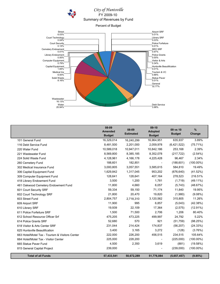# *City of Huntsville* FY 2009-10 Summary of Revenues by Fund

Percent of Budget



|                                                 | 08-09<br><b>Amended</b><br><b>Budget</b> | 08-09<br><b>Estimated</b> | $09-10$<br><b>Adopted</b><br><b>Budget</b> | 09 vs 10<br><b>Budget</b> | $\%$<br>Change |
|-------------------------------------------------|------------------------------------------|---------------------------|--------------------------------------------|---------------------------|----------------|
| 101 General Fund                                | 16,329,014                               | 16,240,299                | 16,964,951                                 | 635,937                   | 3.89%          |
| 116 Debt Service Fund                           | 8,481,500                                | 2,201,000                 | 2,059,978                                  | (6,421,522)               | (75.71%)       |
| 220 Water Fund                                  | 10,589,018                               | 10,947,011                | 10,842,186                                 | 253,168                   | 2.39%          |
| 221 Wastewater Fund                             | 8,569,800                                | 8,385,185                 | 8,352,078                                  | (217, 722)                | $(2.54\%)$     |
| 224 Solid Waste Fund                            | 4,128,961                                | 4,166,178                 | 4,225,428                                  | 96,467                    | 2.34%          |
| 260 Cemetery Fund                               | 188,601                                  | 182,851                   | $\overline{\phantom{a}}$                   | (188, 601)                | $(100.00\%)$   |
| 302 Medical Insurance Fund                      | 3,000,805                                | 3,057,551                 | 3,585,615                                  | 584,810                   | 19.49%         |
| 306 Capital Equipment Fund                      | 1,629,842                                | 1,317,045                 | 953,202                                    | (676, 640)                | (41.52%)       |
| 309 Computer Equipment Fund                     | 128,641                                  | 128,641                   | 407,164                                    | 278,523                   | 216.51%        |
| 418 Library Endowment Fund                      | 3,500                                    | 1,200                     | 1,781                                      | (1,719)                   | $(49.11\%)$    |
| 461 Oakwood Cemetery Endowment Fund             | 11,800                                   | 4,660                     | 6,057                                      | (5, 743)                  | (48.67%)       |
| 601 Court Security SRF                          | 59,334                                   | 59,150                    | 71,174                                     | 11,840                    | 19.95%         |
| 602 Court Technology SRF                        | 21,800                                   | 20,470                    | 19,820                                     | (1,980)                   | $(9.08\%)$     |
| 603 Street Fund                                 | 2,804,757                                | 2,718,310                 | 3,120,562                                  | 315,805                   | 11.26%         |
| 609 Airport SRF                                 | 11,900                                   | 995                       | 6,857                                      | (5,043)                   | (42.38%)       |
| 610 Library SRF                                 | 19,939                                   | 22,109                    | 17,364                                     | (2, 575)                  | $(12.91\%)$    |
| 611 Police Forfeiture SRF                       | 1,500                                    | 71,500                    | 2,706                                      | 1,206                     | 80.40%         |
| 612 School Resource Officer Srf                 | 475,205                                  | 473,225                   | 499,997                                    | 24,792                    | 5.22%          |
| 614 Police Grants SRF                           | 52,680                                   | 570                       | 921                                        | (51, 759)                 | (98.25%)       |
| 618 Visitor & Arts Center SRF                   | 231,044                                  | 214,424                   | 174,837                                    | (56, 207)                 | (24.33%)       |
| 625 Huntsville Beautification                   | 3,400                                    | 3,165                     | 3,272                                      | (128)                     | (3.76%)        |
| 663 Hotel/Motel Tax - Tourism & Visitors Center | 222,000                                  | 226,200                   | 456,515                                    | 234,515                   | 105.64%        |
| 664 Hotel/Motel Tax - Visitor Center            | 225,000                                  | 228,200                   |                                            | (225,000)                 | $(100.00\%)$   |
| 665 Statue Paver Fund                           | 4,500                                    | 2,350                     | 3,619                                      | (881)                     | (19.58%)       |
| 815 General Capital Project                     | 239,000                                  |                           |                                            | (239,000)                 | $(100.00\%)$   |
| <b>Total of all Funds</b>                       | 57,433,541                               | 50,672,289                | 51,776,084                                 | (5,657,457)               | (9.85%)        |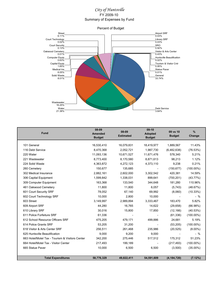# *City of Huntsville* FY 2009-10 Summary of Expenses by Fund



| <b>Fund</b>                                     | 08-09<br>Amended<br><b>Budget</b> | 08-09<br><b>Estimated</b> | $09-10$<br>Adopted<br><b>Budget</b> | 09 vs 10<br><b>Budget</b> | $\%$<br>Change |
|-------------------------------------------------|-----------------------------------|---------------------------|-------------------------------------|---------------------------|----------------|
| 101 General                                     | 16,530,410                        | 16,079,831                | 18,419,977                          | 1,889,567                 | 11.43%         |
| 116 Debt Service                                | 8,470,368                         | 2,052,721                 | 1,987,730                           | (6,482,638)               | (76.53%)       |
| 220 Water                                       | 11,093,136                        | 10,671,527                | 11,671,476                          | 578,340                   | 5.21%          |
| 221 Wastewater                                  | 8,773,400                         | 8,170,580                 | 8,871,613                           | 98,213                    | 1.12%          |
| 224 Solid Waste                                 | 4,363,872                         | 4,272,123                 | 4,373,110                           | 9,238                     | 0.21%          |
| 260 Cemetery                                    | 150,677                           | 135,685                   |                                     | (150, 677)                | $(100.00\%)$   |
| 302 Medical Insurance                           | 2,882,161                         | 2,602,000                 | 3,302,542                           | 420,381                   | 14.59%         |
| 306 Capital Equipment                           | 1,599,842                         | 1,338,031                 | 899,641                             | (700, 201)                | (43.77%)       |
| 309 Computer Equipment                          | 163,368                           | 133,540                   | 344,648                             | 181,280                   | 110.96%        |
| 461 Oakwood Cemetery                            | 11,800                            | 11,800                    | 6,057                               | (5,743)                   | (48.67%)       |
| 601 Court Security SRF                          | 78,052                            | 67,140                    | 69,992                              | (8,060)                   | (10.33%)       |
| 602 Court Technology SRF                        | 10,000                            | 2,800                     | 10,000                              |                           | $-$ %          |
| 603 Street                                      | 3,149,997                         | 2,989,894                 | 3,333,467                           | 183,470                   | 5.82%          |
| 609 Airport SRF                                 | 44,280                            | 16,765                    | 14,622                              | (29, 658)                 | (66.98%)       |
| 610 Library SRF                                 | 30,016                            | 15,800                    | 17,850                              | (12, 166)                 | (40.53%)       |
| 611 Police Forfeiture SRF                       | 61,336                            |                           |                                     | (61, 336)                 | $(100.00\%)$   |
| 612 School Resource Officers SRF                | 475,205                           | 479,171                   | 499,886                             | 24,681                    | 5.19%          |
| 614 Police Grants SRF                           | 53,205                            | 31,200                    | $\overline{\phantom{a}}$            | (53, 205)                 | $(100.00\%)$   |
| 618 Visitor & Arts Center SRF                   | 256,511                           | 261,468                   | 235,986                             | (20, 525)                 | $(8.00\%)$     |
| 625 Huntsville Beautification                   | 9,000                             | 9,200                     | 9,000                               |                           | $-$ %          |
| 663 Hotel/Motel Tax - Tourism & Visitors Center | 342,200                           | 275,446                   | 517,512                             | 175,312                   | 51.23%         |
| 664 Hotel/Motel Tax - Visitor Center            | 217,493                           | 199,189                   |                                     | (217, 493)                | $(100.00\%)$   |
| 665 Statue Paver                                | 10,000                            | 6,500                     | 6,500                               | (3,500)                   | $(35.00\%)$    |
| <b>Total Expenditures</b>                       | 58,776,329                        | 49,822,411                | 54,591,609                          | (4, 184, 720)             | (7.12%)        |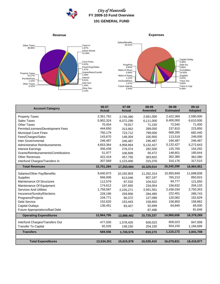

# *City of Huntsville* **FY 2009-10 Fund Overview 101 GENERAL FUND**

### **Revenue**





| <b>Account Category</b>             | 06-07<br><b>Actual</b> | $07 - 08$<br><b>Actual</b> | 08-09<br><b>Amended</b> | 08-09<br><b>Estimated</b> | $09-10$<br><b>Adopted</b> |
|-------------------------------------|------------------------|----------------------------|-------------------------|---------------------------|---------------------------|
| <b>Property Taxes</b>               | 2,351,752              | 2,745,390                  | 2,561,000               | 2,422,369                 | 2,590,000                 |
| <b>Sales Taxes</b>                  | 5,902,324              | 6,072,299                  | 6,111,000               | 6,400,000                 | 6,610,000                 |
| <b>Other Taxes</b>                  | 70,454                 | 79,917                     | 71,150                  | 72,545                    | 71,000                    |
| Permits/Licenses/Development Fees   | 444,650                | 313,952                    | 289,050                 | 237,810                   | 223,850                   |
| <b>Municipal Court Fines</b>        | 750,179                | 723,712                    | 799,000                 | 668,285                   | 682,440                   |
| Fees/Charges/Sales                  | 143,670                | 148,304                    | 100,950                 | 113,519                   | 249,000                   |
| Inter Governmental                  | 246,487                | 246,487                    | 246,487                 | 246,487                   | 246,487                   |
| Administrative Reimbursements       | 4,653,364              | 4,958,864                  | 5,132,427               | 5,132,427                 | 5,272,643                 |
| <b>Interest Earnings</b>            | 356,439                | 276,374                    | 282,500                 | 125,700                   | 154,292                   |
| Grants/Reimbursements/Contributions | 51,977                 | 106,609                    | 56.472                  | 148,601                   | 185,644                   |
| <b>Other Revenues</b>               | 422,419                | 457,755                    | 363,602                 | 362,380                   | 362,080                   |
| Interfund Charges/Transfers In      | 307,569                | 1,123,400                  | 315,376                 | 310,176                   | 317,515                   |
| <b>Total Revenues</b>               | 15,701,284             | 17,253,064                 | 16,329,014              | 16,240,299                | 16,964,951                |
| Salaries/Other Pay/Benefits         | 9,640,973              | 10,192,803                 | 11,262,314              | 10,950,849                | 11,698,838                |
| <b>Supplies</b>                     | 656,006                | 613,046                    | 807,167                 | 765,213                   | 850,915                   |
| Maintenance Of Structures           | 112,579                | 87,532                     | 104.522                 | 94,777                    | 121,650                   |
| Maintenance Of Equipment            | 174,612                | 197,655                    | 234,054                 | 156,632                   | 204,133                   |
| <b>Services And Utilities</b>       | 1,758,587              | 2,235,271                  | 2,561,561               | 2,436,034                 | 2,750,353                 |
| Insurance/Sundry/Elections          | 228,196                | 259,856                    | 284,485                 | 222,401                   | 289,743                   |
| Programs/Projects                   | 104,771                | 66.372                     | 127,089                 | 120,062                   | 152,629                   |
| <b>Debt Service</b>                 | 152,620                | 153,443                    | 158,850                 | 158,850                   | 158,862                   |
| <b>Capital Outlays</b>              | 136,451                | 83,427                     | 92,699                  | 64,840                    | 69,500                    |
| Future Appropriations/Bad Debt      |                        |                            | 87,496                  |                           | 81,646                    |
| <b>Operating Expenditures</b>       | 12,964,795             | 13,889,402                 | 15,720,237              | 14,969,658                | 16,378,269                |
| Interfund Charges/Transfers Out     | 477,030                | 1,578,426                  | 606,023                 | 606,023                   | 847,009                   |
| <b>Transfer To Capital</b>          | 92,526                 | 148,150                    | 204,150                 | 504,150                   | 1,194,699                 |
| <b>Transfers</b>                    | 569,556                | 1,726,576                  | 810,173                 | 1,110,173                 | 2,041,708                 |
|                                     |                        |                            |                         |                           |                           |
| <b>Total Expenditures</b>           | 13,534,351             | 15,615,978                 | 16,530,410              | 16,079,831                | 18,419,977                |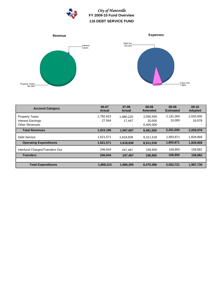

*City of Huntsville* **FY 2009-10 Fund Overview 116 DEBT SERVICE FUND**



| <b>Account Category</b>         | 06-07<br><b>Actual</b>   | $07 - 08$<br><b>Actual</b> | 08-09<br><b>Amended</b> | 08-09<br><b>Estimated</b> | $09-10$<br><b>Adopted</b> |
|---------------------------------|--------------------------|----------------------------|-------------------------|---------------------------|---------------------------|
| <b>Property Taxes</b>           | 1,782,622                | 1,980,220                  | 2,056,500               | 2,191,000                 | 2,043,000                 |
| Interest Earnings               | 27,564                   | 17,447                     | 20,000                  | 10,000                    | 16,978                    |
| <b>Other Revenues</b>           | $\overline{\phantom{0}}$ | -                          | 6,405,000               | $\overline{\phantom{0}}$  |                           |
| <b>Total Revenues</b>           | 1,810,186                | 1,997,667                  | 8,481,500               | 2,201,000                 | 2,059,978                 |
| Debt Service                    | 1,621,571                | 1,618,838                  | 8,311,518               | 1,893,871                 | 1,828,868                 |
| <b>Operating Expenditures</b>   | 1,621,571                | 1,618,838                  | 8,311,518               | 1,893,871                 | 1,828,868                 |
| Interfund Charges/Transfers Out | 246,644                  | 247,467                    | 158,850                 | 158,850                   | 158,862                   |
| <b>Transfers</b>                | 246.644                  | 247,467                    | 158,850                 | 158,850                   | 158,862                   |
|                                 |                          |                            |                         |                           |                           |
| <b>Total Expenditures</b>       | 1,868,215                | 1,866,305                  | 8,470,368               | 2,052,721                 | 1,987,730                 |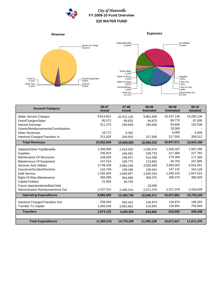## *City of Huntsville* **FY 2009-10 Fund Overview 220 WATER FUND**





| <b>Account Category</b>             | 06-07<br><b>Actual</b> | $07 - 08$<br><b>Actual</b> | 08-09<br><b>Amended</b> | 08-09<br><b>Estimated</b> | $09-10$<br><b>Adopted</b> |
|-------------------------------------|------------------------|----------------------------|-------------------------|---------------------------|---------------------------|
| <b>Water Service Charges</b>        | 9,614,821              | 10,372,120                 | 9,981,838               | 10,437,136                | 10,290,136                |
| Fees/Charges/Sales                  | 95.072                 | 89,632                     | 94,675                  | 89.770                    | 87,000                    |
| <b>Interest Earnings</b>            | 311,374                | 169,929                    | 195,000                 | 63,600                    | 102,538                   |
| Grants/Reimbursements/Contributions |                        |                            |                         | 33,000                    |                           |
| <b>Other Revenues</b>               | 19,772                 | 9.392                      |                         | 6,000                     | 4,000                     |
| Interfund Charges/Transfers In      | 311,620                | 328,910                    | 317,505                 | 317,505                   | 358,512                   |
| <b>Total Revenues</b>               | 10,352,659             | 10,969,982                 | 10,589,018              | 10,947,011                | 10,842,186                |
| Salaries/Other Pay/Benefits         | 1,356,858              | 1,414,333                  | 1,535,475               | 1,458,187                 | 1,587,299                 |
| <b>Supplies</b>                     | 236,823                | 246.691                    | 236,733                 | 217,480                   | 227,782                   |
| Maintenance Of Structures           | 228,030                | 158,971                    | 514,300                 | 279,300                   | 177,300                   |
| Maintenance Of Equipment            | 147,314                | 109,775                    | 113,862                 | 93.750                    | 107,685                   |
| <b>Services And Utilities</b>       | 3,748,436              | 3,950,249                  | 3,920,599               | 3,850,952                 | 4,022,451                 |
| Insurance/Sundry/Elections          | 122,745                | 139,166                    | 128,441                 | 147,132                   | 163,128                   |
| <b>Debt Service</b>                 | 1,420,504              | 1,646,947                  | 1.640.310               | 1,640,310                 | 1,647,015                 |
| Right-Of-Way Maintenance            | 366,008                | 364,690                    | 369,375                 | 369,375                   | 366,929                   |
| <b>Capital Outlays</b>              | 22,053                 | 40,759                     |                         |                           |                           |
| Future Appropriations/Bad Debt      |                        |                            | 19.000                  |                           |                           |
| Administrative Reimbursements Out   | 2,237,312              | 2,289,215                  | 2,371,376               | 2,371,376                 | 2,426,639                 |
| <b>Operating Expenditures</b>       | 9,886,083              | 10,360,796                 | 10,849,471              | 10,427,862                | 10,726,228                |
| Interfund Charges/Transfers Out     | 208,593                | 555,442                    | 126,974                 | 126,974                   | 189,303                   |
| <b>Transfer To Capital</b>          | 1,465,539              | 3,853,952                  | 116,691                 | 116,691                   | 755,945                   |
| <b>Transfers</b>                    | 1,674,132              | 4,409,394                  | 243,665                 | 243,665                   | 945,248                   |
|                                     |                        |                            |                         |                           |                           |
| <b>Total Expenditures</b>           | 11,560,215             | 14,770,189                 | 11,093,136              | 10,671,527                | 11,671,476                |

**Expenses**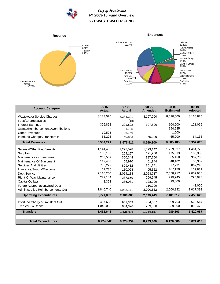

# *City of Huntsville* **FY 2009-10 Fund Overview 221 WASTEWATER FUND**



**Expenses**



| <b>Account Category</b>               | 06-07<br><b>Actual</b> | $07 - 08$<br><b>Actual</b> | 08-09<br><b>Amended</b> | 08-09<br><b>Estimated</b> | $09-10$<br><b>Adopted</b> |
|---------------------------------------|------------------------|----------------------------|-------------------------|---------------------------|---------------------------|
| <b>Wastewater Service Charges</b>     | 8,183,570              | 8,384,391                  | 8,197,000               | 8,020,000                 | 8,166,875                 |
| Fees/Charges/Sales                    |                        | (15)                       |                         |                           |                           |
| <b>Interest Earnings</b>              | 325,898                | 201.822                    | 307,800                 | 104,900                   | 121,065                   |
| Grants/Reimbursements/Contributions   |                        | 1,725                      |                         | 194,285                   |                           |
| <b>Other Revenues</b>                 | 19,595                 | 26.756                     |                         | 1,000                     |                           |
| Interfund Charges/Transfers In        | 55,208                 | 60,833                     | 65,000                  | 65,000                    | 64,138                    |
| <b>Total Revenues</b>                 | 8,584,271              | 8,675,511                  | 8,569,800               | 8,385,185                 | 8,352,078                 |
| Salaries/Other Pay/Benefits           | 1,144,438              | 1,297,598                  | 1,393,142               | 1,259,537                 | 1,464,729                 |
| <b>Supplies</b>                       | 158,109                | 204,197                    | 191,900                 | 175,613                   | 180,362                   |
| Maintenance Of Structures             | 263,539                | 350,344                    | 387,700                 | 305,150                   | 352,700                   |
| Maintenance Of Equipment              | 112,403                | 55.970                     | 61.944                  | 48,102                    | 55,302                    |
| <b>Services And Utilities</b>         | 788,227                | 809,412                    | 801,741                 | 827,231                   | 867,245                   |
| Insurance/Sundry/Elections            | 61,736                 | 110,068                    | 95,322                  | 107,190                   | 119,831                   |
| <b>Debt Service</b>                   | 2,116,200              | 2,054,184                  | 2,058,717               | 2,058,717                 | 2,059,986                 |
| Right-Of-Way Maintenance              | 272,144                | 287,659                    | 299,945                 | 299,945                   | 290,078                   |
| <b>Capital Outlays</b>                | 8,363                  | 286,081                    | 128,000                 | 99,000                    |                           |
| <b>Future Appropriations/Bad Debt</b> |                        |                            | 110,000                 |                           | 43,000                    |
| Administrative Reimbursements Out     | 1,846,740              | 1,933,171                  | 2,000,832               | 2,000,832                 | 2,017,393                 |
| <b>Operating Expenditures</b>         | 6,771,899              | 7,388,684                  | 7,529,243               | 7,181,317                 | 7,450,626                 |
| Interfund Charges/Transfers Out       | 407,608                | 931.349                    | 954,657                 | 699,763                   | 528,514                   |
| <b>Transfer To Capital</b>            | 1,045,035              | 604,326                    | 289,500                 | 289,500                   | 892,473                   |
| <b>Transfers</b>                      | 1,452,643              | 1,535,675                  | 1,244,157               | 989,263                   | 1,420,987                 |
| <b>Total Expenditures</b>             | 8,224,542              | 8,924,359                  | 8,773,400               | 8,170,580                 | 8,871,613                 |
|                                       |                        |                            |                         |                           |                           |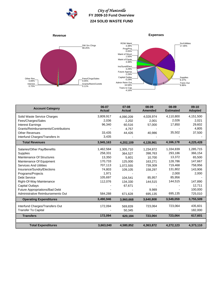

# *City of Huntsville* **FY 2009-10 Fund Overview 224 SOLID WASTE FUND**





| <b>Account Category</b>               | 06-07<br><b>Actual</b> | $07 - 08$<br><b>Actual</b> | 08-09<br><b>Amended</b> | 08-09<br><b>Estimated</b> | $09-10$<br><b>Adopted</b> |
|---------------------------------------|------------------------|----------------------------|-------------------------|---------------------------|---------------------------|
| Solid Waste Service Charges           | 3,809,917              | 4,090,209                  | 4,028,974               | 4,110,800                 | 4,151,500                 |
| Fees/Charges/Sales                    | 2,036                  | 2,202                      | 2,001                   | 2,026                     | 2,021                     |
| <b>Interest Earnings</b>              | 96,340                 | 60.516                     | 57,000                  | 17,850                    | 29,602                    |
| Grants/Reimbursements/Contributions   |                        | 4.757                      |                         |                           | 4,805                     |
| <b>Other Revenues</b>                 | 33,435                 | 44,426                     | 40,986                  | 35,502                    | 37,500                    |
| Interfund Charges/Transfers In        | 3,435                  |                            |                         |                           |                           |
| <b>Total Revenues</b>                 | 3,945,163              | 4,202,109                  | 4,128,961               | 4,166,178                 | 4,225,428                 |
| Salaries/Other Pay/Benefits           | 1,462,584              | 1,305,710                  | 1,234,872               | 1,334,839                 | 1,285,715                 |
| <b>Supplies</b>                       | 258,331                | 364,527                    | 398,763                 | 293,186                   | 366,154                   |
| Maintenance Of Structures             | 13,350                 | 5.601                      | 10.700                  | 13,372                    | 65,500                    |
| Maintenance Of Equipment              | 170,733                | 125.000                    | 163,271                 | 128,786                   | 147,667                   |
| <b>Services And Utilities</b>         | 707,113                | 1,072,555                  | 739,309                 | 719,468                   | 758,956                   |
| Insurance/Sundry/Elections            | 74,803                 | 109,105                    | 158,297                 | 131,802                   | 143,906                   |
| Programs/Projects                     | 1,971                  |                            |                         | 2,000                     | 2,000                     |
| <b>Debt Service</b>                   | 105,697                | 104.541                    | 85.957                  | 85,956                    |                           |
| Right-Of-Way Maintenance              | 112,076                | 134,330                    | 144,515                 | 144,515                   | 147,890                   |
| <b>Capital Outlays</b>                |                        | 67,671                     |                         |                           | 12,711                    |
| <b>Future Appropriations/Bad Debt</b> |                        |                            | 9,989                   |                           | 100,000                   |
| Administrative Reimbursements Out     | 584,288                | 671,628                    | 695,135                 | 695,135                   | 725,010                   |
| <b>Operating Expenditures</b>         | 3,490,946              | 3,960,668                  | 3,640,808               | 3,549,059                 | 3,755,509                 |
| Interfund Charges/Transfers Out       | 172,094                | 569,839                    | 723,064                 | 723,064                   | 435,601                   |
| <b>Transfer To Capital</b>            |                        | 50,345                     |                         |                           | 182,000                   |
| <b>Transfers</b>                      | 172,094                | 620,184                    | 723,064                 | 723,064                   | 617,601                   |
|                                       |                        |                            |                         |                           |                           |
| <b>Total Expenditures</b>             | 3,663,040              | 4,580,852                  | 4,363,872               | 4,272,123                 | 4,373,110                 |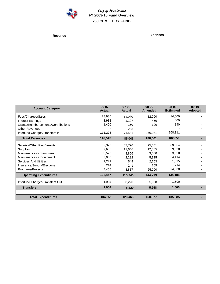

*City of Huntsville* **FY 2009-10 Fund Overview 260 CEMETERY FUND**

**Revenue Expenses**

| <b>Account Category</b>             | 06-07<br><b>Actual</b> | $07 - 08$<br><b>Actual</b> | 08-09<br><b>Amended</b> | 08-09<br><b>Estimated</b> | $09-10$<br><b>Adopted</b> |
|-------------------------------------|------------------------|----------------------------|-------------------------|---------------------------|---------------------------|
| Fees/Charges/Sales                  | 23,930                 | 11,930                     | 12,000                  | 14,000                    |                           |
| Interest Earnings                   | 3,938                  | 1,197                      | 450                     | 400                       |                           |
| Grants/Reimbursements/Contributions | 1,400                  | 150                        | 100                     | 140                       |                           |
| <b>Other Revenues</b>               |                        | 238                        |                         |                           |                           |
| Interfund Charges/Transfers In      | 111,275                | 71,531                     | 176,051                 | 168,311                   |                           |
| <b>Total Revenues</b>               | 140,543                | 85,046                     | 188,601                 | 182,851                   |                           |
| Salaries/Other Pay/Benefits         | 82,323                 | 87,790                     | 95,351                  | 89,954                    |                           |
| <b>Supplies</b>                     | 7,636                  | 11,646                     | 12,865                  | 9,628                     |                           |
| Maintenance Of Structures           | 3,523                  | 3,856                      | 3,650                   | 3,650                     |                           |
| Maintenance Of Equipment            | 3,055                  | 2,282                      | 5,325                   | 4,114                     |                           |
| <b>Services And Utilities</b>       | 1,241                  | 544                        | 2,263                   | 1,825                     |                           |
| Insurance/Sundry/Elections          | 214                    | 241                        | 265                     | 214                       |                           |
| Programs/Projects                   | 4,455                  | 8,887                      | 25,000                  | 24,800                    |                           |
| <b>Operating Expenditures</b>       | 102,447                | 115,246                    | 144,719                 | 134,185                   |                           |
| Interfund Charges/Transfers Out     | 1,904                  | 8,220                      | 5,958                   | 1,500                     |                           |
| <b>Transfers</b>                    | 1,904                  | 8,220                      | 5,958                   | 1,500                     |                           |
|                                     |                        |                            |                         |                           |                           |
| <b>Total Expenditures</b>           | 104,351                | 123,466                    | 150,677                 | 135,685                   |                           |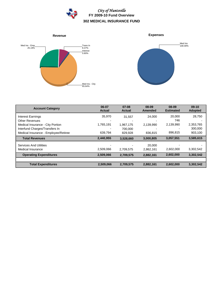

Med Ins<br>100.00%



| <b>Account Category</b>              | 06-07<br><b>Actual</b> | 07-08<br><b>Actual</b> | 08-09<br><b>Amended</b> | 08-09<br><b>Estimated</b> | $09-10$<br><b>Adopted</b> |
|--------------------------------------|------------------------|------------------------|-------------------------|---------------------------|---------------------------|
| Interest Earnings                    | 35,970                 | 31.557                 | 24,000                  | 20,000                    | 28,750                    |
| <b>Other Revenues</b>                |                        |                        |                         | 746                       |                           |
| Medical Insurance - City Portion     | 1,765,191              | 1,967,175              | 2,139,990               | 2,139,990                 | 2,353,765                 |
| Interfund Charges/Transfers In       |                        | 700,000                |                         |                           | 300,000                   |
| Medical Insurance - Employee/Retiree | 639.794                | 829.928                | 836.815                 | 896.815                   | 903,100                   |
| <b>Total Revenues</b>                | 2,440,955              | 3,528,660              | 3,000,805               | 3,057,551                 | 3,585,615                 |
| <b>Services And Utilities</b>        |                        |                        | 20,000                  |                           |                           |
| Medical Insurance                    | 2,509,066              | 2.709.575              | 2,862,161               | 2,602,000                 | 3,302,542                 |
| <b>Operating Expenditures</b>        | 2,509,066              | 2,709,575              | 2,882,161               | 2,602,000                 | 3,302,542                 |
|                                      |                        |                        |                         |                           |                           |
| <b>Total Expenditures</b>            | 2.509.066              | 2.709.575              | 2,882,161               | 2.602.000                 | 3,302,542                 |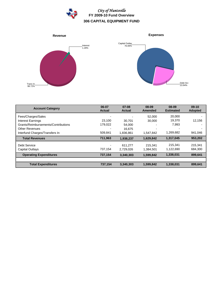



| <b>Account Category</b>             | 06-07<br><b>Actual</b> | $07 - 08$<br><b>Actual</b> | 08-09<br>Amended | 08-09<br><b>Estimated</b> | $09-10$<br><b>Adopted</b> |
|-------------------------------------|------------------------|----------------------------|------------------|---------------------------|---------------------------|
| Fees/Charges/Sales                  |                        |                            | 52,000           | 20,000                    |                           |
| <b>Interest Earnings</b>            | 23.100                 | 30.701                     | 30,000           | 19,370                    | 12,156                    |
| Grants/Reimbursements/Contributions | 179,022                | 54.000                     |                  | 7,993                     |                           |
| <b>Other Revenues</b>               |                        | 16,675                     |                  |                           |                           |
| Interfund Charges/Transfers In      | 509,841                | 1.836.861                  | 1.547.842        | 1,269,682                 | 941,046                   |
| <b>Total Revenues</b>               | 711,963                | 1,938,237                  | 1,629,842        | 1,317,045                 | 953,202                   |
| Debt Service                        |                        | 611.277                    | 215.341          | 215.341                   | 215,341                   |
| Capital Outlays                     | 737,154                | 2.729.026                  | 1,384,501        | 1,122,690                 | 684,300                   |
| <b>Operating Expenditures</b>       | 737,154                | 3,340,303                  | 1,599,842        | 1,338,031                 | 899,641                   |
|                                     |                        |                            |                  |                           |                           |
| <b>Total Expenditures</b>           | 737,154                | 3,340,303                  | 1,599,842        | 1,338,031                 | 899,641                   |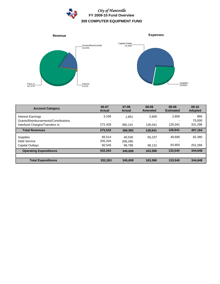



| <b>Account Category</b>             | 06-07<br><b>Actual</b> | $07-08$<br><b>Actual</b> | 08-09<br>Amended | 08-09<br><b>Estimated</b> | $09-10$<br><b>Adopted</b> |
|-------------------------------------|------------------------|--------------------------|------------------|---------------------------|---------------------------|
| Interest Earnings                   | 3.106                  | 1.851                    | 2.600            | 2.600                     | 866                       |
| Grants/Reimbursements/Contributions |                        |                          |                  |                           | 75,000                    |
| Interfund Charges/Transfers In      | 272.426                | 365.141                  | 126.041          | 126.041                   | 331.298                   |
| <b>Total Revenues</b>               | 275,532                | 366.992                  | 128.641          | 128,641                   | 407,164                   |
| Supplies                            | 66.514                 | 40.530                   | 65.237           | 49.690                    | 92,380                    |
| Debt Service                        | 205.204                | 206.280                  |                  |                           |                           |
| <b>Capital Outlays</b>              | 60,545                 | 98.798                   | 98.131           | 83,850                    | 252,268                   |
| <b>Operating Expenditures</b>       | 332,263                | 345.608                  | 163,368          | 133,540                   | 344.648                   |
|                                     |                        |                          |                  |                           |                           |
| <b>Total Expenditures</b>           | 332,263                | 345.608                  | 163,368          | 133.540                   | 344.648                   |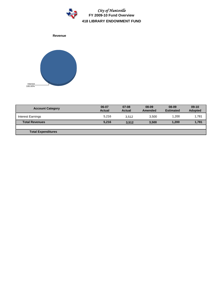

**Revenue**



| <b>Account Category</b>   | 06-07<br>Actual | $07-08$<br>Actual | 08-09<br>Amended | 08-09<br><b>Estimated</b> | $09-10$<br><b>Adopted</b> |
|---------------------------|-----------------|-------------------|------------------|---------------------------|---------------------------|
| Interest Earnings         | 5.216           | 3.512             | 3.500            | 1.200                     | 1,781                     |
| <b>Total Revenues</b>     | 5,216           | 3.512             | 3,500            | 1.200                     | 1,781                     |
|                           |                 |                   |                  |                           |                           |
| <b>Total Expenditures</b> |                 |                   |                  |                           |                           |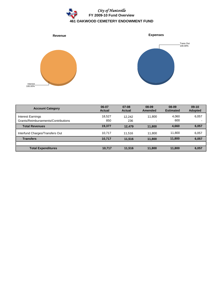



| <b>Account Category</b>                                  | 06-07<br><b>Actual</b> | $07-08$<br><b>Actual</b> | 08-09<br><b>Amended</b> | 08-09<br><b>Estimated</b> | $09-10$<br><b>Adopted</b> |
|----------------------------------------------------------|------------------------|--------------------------|-------------------------|---------------------------|---------------------------|
| Interest Earnings<br>Grants/Reimbursements/Contributions | 18,527<br>850          | 12.242<br>236            | 11.800                  | 4,060<br>600              | 6,057                     |
| <b>Total Revenues</b>                                    | 19,377                 | 12.479                   | 11,800                  | 4,660                     | 6,057                     |
| Interfund Charges/Transfers Out                          | 10.717                 | 11.516                   | 11.800                  | 11.800                    | 6,057                     |
| <b>Transfers</b>                                         | 10,717                 | 11.516                   | 11.800                  | 11,800                    | 6,057                     |
|                                                          |                        |                          |                         |                           |                           |
| <b>Total Expenditures</b>                                | 10,717                 | 11,516                   | 11,800                  | 11,800                    | 6.057                     |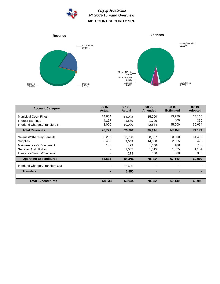

*City of Huntsville* **FY 2009-10 Fund Overview 601 COURT SECURITY SRF**



| <b>Account Category</b>         | 06-07<br><b>Actual</b> | $07 - 08$<br><b>Actual</b> | 08-09<br><b>Amended</b> | 08-09<br><b>Estimated</b> | $09-10$<br><b>Adopted</b> |
|---------------------------------|------------------------|----------------------------|-------------------------|---------------------------|---------------------------|
| <b>Municipal Court Fines</b>    | 14,604                 | 14.008                     | 15.000                  | 13,750                    | 14,160                    |
| Interest Earnings               | 4,167                  | 1,589                      | 1,700                   | 400                       | 360                       |
| Interfund Charges/Transfers In  | 8,000                  | 10,000                     | 42,634                  | 45,000                    | 56,654                    |
| <b>Total Revenues</b>           | 26,771                 | 25,597                     | 59,334                  | 59,150                    | 71,174                    |
| Salaries/Other Pay/Benefits     | 53,206                 | 56,708                     | 60,837                  | 63,000                    | 64,408                    |
| Supplies                        | 5,489                  | 3,009                      | 14.600                  | 2,565                     | 3,420                     |
| Maintenance Of Equipment        | 138                    | 499                        | 1,000                   | 180                       | 700                       |
| <b>Services And Utilities</b>   |                        | 1,005                      | 1.315                   | 1,095                     | 1,164                     |
| Insurance/Sundry/Elections      |                        | 273                        | 300                     | 300                       | 300                       |
| <b>Operating Expenditures</b>   | 58,833                 | 61,494                     | 78,052                  | 67,140                    | 69,992                    |
| Interfund Charges/Transfers Out |                        | 2,450                      |                         |                           |                           |
| <b>Transfers</b>                |                        | 2,450                      |                         |                           |                           |
|                                 |                        |                            |                         |                           |                           |
| <b>Total Expenditures</b>       | 58,833                 | 63,944                     | 78,052                  | 67,140                    | 69,992                    |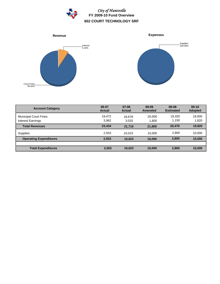

*City of Huntsville* **FY 2009-10 Fund Overview 602 COURT TECHNOLOGY SRF**



| <b>Account Category</b>                           | 06-07<br><b>Actual</b> | $07-08$<br><b>Actual</b> | 08-09<br><b>Amended</b> | 08-09<br><b>Estimated</b> | $09-10$<br><b>Adopted</b> |
|---------------------------------------------------|------------------------|--------------------------|-------------------------|---------------------------|---------------------------|
| <b>Municipal Court Fines</b><br>Interest Earnings | 19,472<br>3,962        | 18.678<br>3.032          | 20,000<br>1.800         | 19.320<br>1.150           | 18,000<br>1,820           |
| <b>Total Revenues</b>                             | 23,434                 | 21.710                   | 21,800                  | 20.470                    | 19,820                    |
| <b>Supplies</b>                                   | 2,553                  | 10.023                   | 10.000                  | 2,800                     | 10,000                    |
| <b>Operating Expenditures</b>                     | 2,553                  | 10.023                   | 10.000                  | 2,800                     | 10,000                    |
|                                                   |                        |                          |                         |                           |                           |
| <b>Total Expenditures</b>                         | 2,553                  | 10,023                   | 10.000                  | 2,800                     | 10,000                    |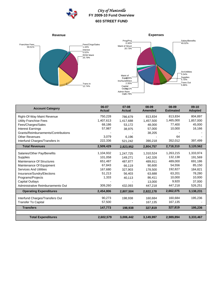

# *City of Huntsville* **FY 2009-10 Fund Overview 603 STREET FUND**







| <b>Account Category</b>             | 06-07<br><b>Actual</b> | $07-08$<br><b>Actual</b> | 08-09<br><b>Amended</b> | 08-09<br><b>Estimated</b> | $09-10$<br><b>Adopted</b> |
|-------------------------------------|------------------------|--------------------------|-------------------------|---------------------------|---------------------------|
| Right-Of-Way Maint Revenue          | 750,228                | 786,679                  | 813,834                 | 813,834                   | 804,897                   |
| <b>Utility Franchise Fees</b>       | 1,407,613              | 1,417,688                | 1,457,500               | 1,465,000                 | 1,857,000                 |
| Fees/Charges/Sales                  | 68,186                 | 53,172                   | 48,000                  | 77,400                    | 45,000                    |
| <b>Interest Earnings</b>            | 57,987                 | 38,975                   | 57,000                  | 10,000                    | 16,166                    |
| Grants/Reimbursements/Contributions |                        |                          | 38,205                  |                           |                           |
| <b>Other Revenues</b>               | 3,079                  | 6.196                    |                         | 64                        |                           |
| Interfund Charges/Transfers In      | 222,336                | 521,242                  | 390,218                 | 352,012                   | 397,499                   |
| <b>Total Revenues</b>               | 2,509,429              | 2,823,952                | 2,804,757               | 2,718,310                 | 3,120,562                 |
| Salaries/Other Pay/Benefits         | 1,104,932              | 1,247,725                | 1,310,524               | 1,263,215                 | 1,333,974                 |
| <b>Supplies</b>                     | 101,058                | 149,271                  | 142,326                 | 132,138                   | 191,569                   |
| Maintenance Of Structures           | 651,487                | 487.877                  | 489,911                 | 489,000                   | 691,186                   |
| Maintenance Of Equipment            | 67,843                 | 66,119                   | 90,600                  | 54,556                    | 85,150                    |
| <b>Services And Utilities</b>       | 167,680                | 327,903                  | 178,500                 | 192,827                   | 184,821                   |
| Insurance/Sundry/Elections          | 51,213                 | 56.403                   | 63,688                  | 63,201                    | 78,280                    |
| Programs/Projects                   | 1,333                  | 40,113                   | 86,411                  | 10,000                    | 10,000                    |
| <b>Capital Outlays</b>              |                        |                          | 13,000                  | 9,920                     | 37,000                    |
| Administrative Reimbursements Out   | 309,260                | 432,093                  | 447,218                 | 447,218                   | 526,251                   |
| <b>Operating Expenditures</b>       | 2,454,806              | 2,807,504                | 2,822,178               | 2,662,075                 | 3,138,231                 |
| Interfund Charges/Transfers Out     | 90,273                 | 198,938                  | 160,684                 | 160,684                   | 195,236                   |
| <b>Transfer To Capital</b>          | 57,500                 |                          | 167,135                 | 167,135                   |                           |
| <b>Transfers</b>                    | 147,773                | 198,938                  | 327,819                 | 327,819                   | 195,236                   |
|                                     |                        |                          |                         |                           |                           |
| <b>Total Expenditures</b>           | 2,602,579              | 3,006,442                | 3,149,997               | 2,989,894                 | 3,333,467                 |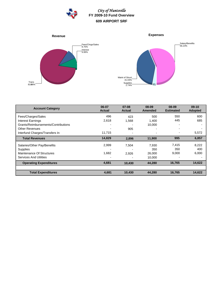

# *City of Huntsville* **FY 2009-10 Fund Overview 609 AIRPORT SRF**



| <b>Account Category</b>             | 06-07<br><b>Actual</b> | $07 - 08$<br><b>Actual</b> | 08-09<br><b>Amended</b> | 08-09<br><b>Estimated</b> | $09-10$<br><b>Adopted</b> |
|-------------------------------------|------------------------|----------------------------|-------------------------|---------------------------|---------------------------|
| Fees/Charges/Sales                  | 496                    | 423                        | 500                     | 550                       | 600                       |
| <b>Interest Earnings</b>            | 2,618                  | 1,568                      | 1,400                   | 445                       | 685                       |
| Grants/Reimbursements/Contributions |                        |                            | 10,000                  |                           |                           |
| <b>Other Revenues</b>               |                        | 905                        |                         |                           |                           |
| Interfund Charges/Transfers In      | 11.715                 |                            |                         |                           | 5,572                     |
| <b>Total Revenues</b>               | 14,829                 | 2,896                      | 11,900                  | 995                       | 6,857                     |
| Salaries/Other Pay/Benefits         | 2,999                  | 7,504                      | 7,930                   | 7,415                     | 8,222                     |
| <b>Supplies</b>                     |                        |                            | 350                     | 350                       | 400                       |
| Maintenance Of Structures           | 1,682                  | 2,926                      | 26,000                  | 9,000                     | 6,000                     |
| <b>Services And Utilities</b>       |                        |                            | 10,000                  |                           |                           |
| <b>Operating Expenditures</b>       | 4,681                  | 10,430                     | 44,280                  | 16,765                    | 14,622                    |
|                                     |                        |                            |                         |                           |                           |
| <b>Total Expenditures</b>           | 4,681                  | 10,430                     | 44,280                  | 16,765                    | 14,622                    |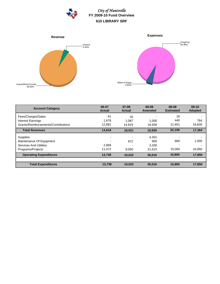

*City of Huntsville* **FY 2009-10 Fund Overview 610 LIBRARY SRF**





| <b>Account Category</b>             | 06-07<br><b>Actual</b>   | $07 - 08$<br><b>Actual</b> | 08-09<br><b>Amended</b> | 08-09<br><b>Estimated</b> | $09-10$<br><b>Adopted</b> |
|-------------------------------------|--------------------------|----------------------------|-------------------------|---------------------------|---------------------------|
| Fees/Charges/Sales                  | 61                       | 16                         |                         | 18                        |                           |
| Interest Earnings                   | 1.676                    | 1.087                      | 1.000                   | 440                       | 764                       |
| Grants/Reimbursements/Contributions | 12.881                   | 14.919                     | 18.939                  | 21.651                    | 16,600                    |
| <b>Total Revenues</b>               | 14,618                   | 16,021                     | 19,939                  | 22,109                    | 17,364                    |
| Supplies                            | $\overline{\phantom{0}}$ |                            | 4,301                   |                           |                           |
| Maintenance Of Equipment            |                          | 972                        | 900                     | 800                       | 1,000                     |
| <b>Services And Utilities</b>       | 2.666                    |                            | 3.200                   | -                         |                           |
| Programs/Projects                   | 11,072                   | 9.050                      | 21,615                  | 15,000                    | 16,850                    |
| <b>Operating Expenditures</b>       | 13,738                   | 10,022                     | 30.016                  | 15,800                    | 17,850                    |
|                                     |                          |                            |                         |                           |                           |
| <b>Total Expenditures</b>           | 13,738                   | 10,022                     | 30,016                  | 15,800                    | 17,850                    |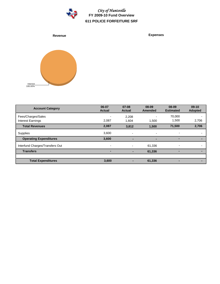



**Account Category 06-07 Actual 09-10 Adopted 08-09 Estimated 07-08 Actual 08-09 Amended** Fees/Charges/Sales - 2,208 - 70,000 - 1,500 2,706<br>Interest Earnings 2,087 - 2,087 1,500 1,500 2,706 Interest Earnings 2,087 2,706 1,604 1,500 1,500 **Total Revenues 2,087 2,706 3,812 1,500 71,500** Supplies 3,600 - - - - **Operating Expenditures 3,600 - - - -** Interfund Charges/Transfers Out - - - 61,336 - **Transfers - - - 61,336 - Total Expenditures 3,600** - 61,336 - **- - - -**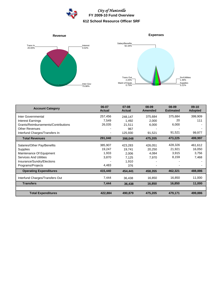

*City of Huntsville* **FY 2009-10 Fund Overview 612 School Resource Officer SRF**



| <b>Account Category</b>             | 06-07<br><b>Actual</b> | $07 - 08$<br><b>Actual</b> | 08-09<br><b>Amended</b> | 08-09<br><b>Estimated</b> | $09-10$<br><b>Adopted</b> |
|-------------------------------------|------------------------|----------------------------|-------------------------|---------------------------|---------------------------|
| Inter Governmental                  | 257,456                | 248,147                    | 375,684                 | 375,684                   | 399,909                   |
| Interest Earnings                   | 7,549                  | 1,492                      | 2,000                   | 20                        | 111                       |
| Grants/Reimbursements/Contributions | 26,035                 | 21,511                     | 6,000                   | 6,000                     |                           |
| <b>Other Revenues</b>               |                        | 967                        |                         |                           |                           |
| Interfund Charges/Transfers In      |                        | 125,930                    | 91,521                  | 91,521                    | 99,977                    |
| <b>Total Revenues</b>               | 291,040                | 398,048                    | 475,205                 | 473,225                   | 499,997                   |
| Salaries/Other Pay/Benefits         | 385,907                | 423,283                    | 426,051                 | 428,326                   | 461,612                   |
| Supplies                            | 19,247                 | 19,741                     | 20,250                  | 21,921                    | 16,050                    |
| Maintenance Of Equipment            | 1,933                  | 2,006                      | 4,084                   | 3,915                     | 3,756                     |
| <b>Services And Utilities</b>       | 3,870                  | 7,125                      | 7,970                   | 8,159                     | 7,468                     |
| Insurance/Sundry/Elections          |                        | 1,910                      |                         |                           |                           |
| Programs/Projects                   | 4,483                  | 376                        |                         |                           |                           |
| <b>Operating Expenditures</b>       | 415,440                | 454,441                    | 458,355                 | 462,321                   | 488,886                   |
| Interfund Charges/Transfers Out     | 7,444                  | 36,438                     | 16,850                  | 16,850                    | 11,000                    |
| <b>Transfers</b>                    | 7,444                  | 36,438                     | 16,850                  | 16,850                    | 11,000                    |
|                                     |                        |                            |                         |                           |                           |
| <b>Total Expenditures</b>           | 422,884                | 490,879                    | 475,205                 | 479,171                   | 499,886                   |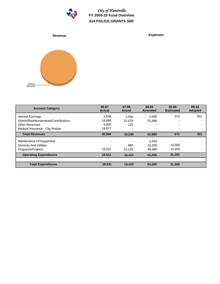

*City of Huntsville* **FY 2009-10 Fund Overview 614 POLICE GRANTS SRF**

**Revenue Expenses**



| <b>Account Category</b>             | 06-07<br><b>Actual</b> | $07 - 08$<br><b>Actual</b> | 08-09<br><b>Amended</b> | 08-09<br><b>Estimated</b> | $09-10$<br><b>Adopted</b> |
|-------------------------------------|------------------------|----------------------------|-------------------------|---------------------------|---------------------------|
| Interest Earnings                   | 1,536                  | 1.036                      | 1.000                   | 570                       | 921                       |
| Grants/Reimbursements/Contributions | 18,886                 | 31.078                     | 51,680                  | $\overline{\phantom{0}}$  |                           |
| <b>Other Revenues</b>               | 6,000                  | 125                        |                         | $\overline{\phantom{0}}$  |                           |
| Medical Insurance - City Portion    | 19.577                 | $\blacksquare$             | -                       | $\overline{\phantom{a}}$  |                           |
| <b>Total Revenues</b>               | 45,999                 | 32,238                     | 52,680                  | 570                       | 921                       |
| Maintenance Of Equipment            |                        |                            | 1,525                   |                           |                           |
| <b>Services And Utilities</b>       |                        | 983                        | 12.200                  | 16,000                    |                           |
| Programs/Projects                   | 18.531                 | 14,120                     | 39,480                  | 15,200                    |                           |
| <b>Operating Expenditures</b>       | 18,531                 | 15,103                     | 53,205                  | 31,200                    |                           |
| <b>Total Expenditures</b>           | 18,531                 | 15,103                     | 53,205                  | 31,200                    |                           |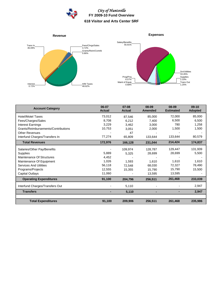



| <b>Account Category</b>             | 06-07<br><b>Actual</b> | $07 - 08$<br><b>Actual</b> | 08-09<br><b>Amended</b> | 08-09<br><b>Estimated</b> | $09-10$<br><b>Adopted</b> |
|-------------------------------------|------------------------|----------------------------|-------------------------|---------------------------|---------------------------|
| <b>Hotel/Motel Taxes</b>            | 73,012                 | 87,546                     | 85,000                  | 72,000                    | 85,000                    |
| Fees/Charges/Sales                  | 8,708                  | 6,212                      | 7,400                   | 6,500                     | 6,500                     |
| <b>Interest Earnings</b>            | 3,229                  | 3,462                      | 3,000                   | 780                       | 1,258                     |
| Grants/Reimbursements/Contributions | 10,753                 | 3,051                      | 2,000                   | 1,500                     | 1,500                     |
| <b>Other Revenues</b>               |                        | 47                         |                         |                           |                           |
| Interfund Charges/Transfers In      | 77,274                 | 65,809                     | 133,644                 | 133,644                   | 80,579                    |
| <b>Total Revenues</b>               | 172,976                | 166,128                    | 231,044                 | 214,424                   | 174,837                   |
| Salaries/Other Pay/Benefits         |                        | 109,974                    | 128,787                 | 129,447                   | 131,939                   |
| Supplies                            | 5,889                  | 5,325                      | 28.699                  | 28,699                    | 5,500                     |
| Maintenance Of Structures           | 4,452                  |                            |                         |                           |                           |
| Maintenance Of Equipment            | 1,026                  | 1,593                      | 1,610                   | 1,610                     | 1,610                     |
| Services And Utilities              | 56,118                 | 72,548                     | 68,030                  | 72,327                    | 78,490                    |
| Programs/Projects                   | 12,555                 | 15,355                     | 15,790                  | 15,790                    | 15,500                    |
| Capital Outlays                     | 11,060                 |                            | 13,595                  | 13,595                    |                           |
| <b>Operating Expenditures</b>       | 91,100                 | 204,796                    | 256,511                 | 261,468                   | 233,039                   |
| Interfund Charges/Transfers Out     |                        | 5,110                      |                         |                           | 2,947                     |
| <b>Transfers</b>                    |                        | 5,110                      |                         |                           | 2,947                     |
|                                     |                        |                            |                         |                           |                           |
| <b>Total Expenditures</b>           | 91,100                 | 209,906                    | 256,511                 | 261,468                   | 235,986                   |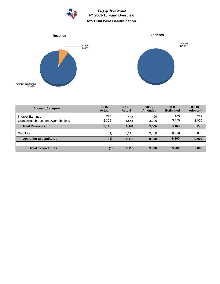

*City of Huntsville* **FY 2009-10 Fund Overview 625 Huntsville Beautification**



| <b>Account Category</b>                                         | 06-07<br><b>Actual</b> | $07-08$<br><b>Actual</b> | 08-09<br>Amended | 08-09<br><b>Estimated</b> | $09-10$<br><b>Adopted</b> |
|-----------------------------------------------------------------|------------------------|--------------------------|------------------|---------------------------|---------------------------|
| <b>Interest Earnings</b><br>Grants/Reimbursements/Contributions | 720<br>2,395           | 488<br>4.855             | 400<br>3.000     | 165<br>3,000              | 272<br>3,000              |
| <b>Total Revenues</b>                                           | 3.115                  | 5.343                    | 3,400            | 3,165                     | 3,272                     |
| Supplies                                                        | (1)                    | 8.115                    | 9.000            | 9,200                     | 9,000                     |
| <b>Operating Expenditures</b>                                   | (1)                    | 8,115                    | 9,000            | 9,200                     | 9,000                     |
|                                                                 |                        |                          |                  |                           |                           |
| <b>Total Expenditures</b>                                       | (1)                    | 8,115                    | 9,000            | 9,200                     | 9,000                     |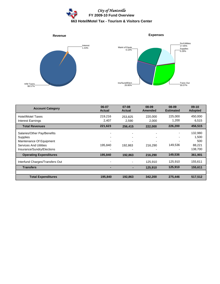



| <b>Account Category</b>                                                                                                            | 06-07<br><b>Actual</b>                                                            | $07 - 08$<br><b>Actual</b> | 08-09<br><b>Amended</b>                                         | 08-09<br><b>Estimated</b> | $09-10$<br><b>Adopted</b>                    |
|------------------------------------------------------------------------------------------------------------------------------------|-----------------------------------------------------------------------------------|----------------------------|-----------------------------------------------------------------|---------------------------|----------------------------------------------|
| <b>Hotel/Motel Taxes</b><br>Interest Earnings                                                                                      | 219,216<br>2,407                                                                  | 253,825<br>2,590           | 220,000<br>2,000                                                | 225,000<br>1,200          | 450,000<br>6,515                             |
| <b>Total Revenues</b>                                                                                                              | 221,623                                                                           | 256,415                    | 222,000                                                         | 226,200                   | 456,515                                      |
| Salaries/Other Pay/Benefits<br>Supplies<br>Maintenance Of Equipment<br><b>Services And Utilities</b><br>Insurance/Sundry/Elections | $\blacksquare$<br>$\overline{\phantom{0}}$<br>$\overline{\phantom{0}}$<br>195,840 | -<br>192,863               | $\overline{\phantom{0}}$<br>$\overline{\phantom{0}}$<br>216,290 | ۰<br>۰<br>-<br>149,536    | 132,980<br>1,500<br>500<br>88,221<br>138,700 |
| <b>Operating Expenditures</b>                                                                                                      | 195,840                                                                           | 192,863                    | 216,290                                                         | 149,536                   | 361,901                                      |
| Interfund Charges/Transfers Out                                                                                                    | $\blacksquare$                                                                    |                            | 125,910                                                         | 125,910                   | 155,611                                      |
| <b>Transfers</b>                                                                                                                   |                                                                                   |                            | 125,910                                                         | 125,910                   | 155,611                                      |
|                                                                                                                                    |                                                                                   |                            |                                                                 |                           |                                              |
| <b>Total Expenditures</b>                                                                                                          | 195,840                                                                           | 192,863                    | 342,200                                                         | 275,446                   | 517,512                                      |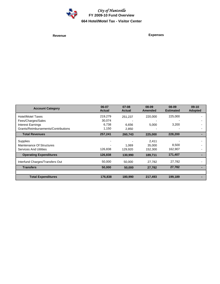

*City of Huntsville* **FY 2009-10 Fund Overview 664 Hotel/Motel Tax - Visitor Center**

**Revenue Expenses**

| <b>Account Category</b>             | 06-07<br><b>Actual</b> | $07 - 08$<br><b>Actual</b> | 08-09<br><b>Amended</b> | 08-09<br><b>Estimated</b> | $09-10$<br><b>Adopted</b> |
|-------------------------------------|------------------------|----------------------------|-------------------------|---------------------------|---------------------------|
| <b>Hotel/Motel Taxes</b>            | 219,279                | 251,237                    | 220,000                 | 225,000                   |                           |
| Fees/Charges/Sales                  | 30,074                 |                            |                         |                           |                           |
| <b>Interest Earnings</b>            | 6,738                  | 6,656                      | 5,000                   | 3,200                     |                           |
| Grants/Reimbursements/Contributions | 1,150                  | 2,850                      |                         |                           |                           |
| <b>Total Revenues</b>               | 257,241                | 260,743                    | 225,000                 | 228,200                   |                           |
| Supplies                            |                        |                            | 2,411                   |                           |                           |
| Maintenance Of Structures           |                        | 1,069                      | 35,000                  | 8,500                     |                           |
| <b>Services And Utilities</b>       | 126,838                | 129,920                    | 152,300                 | 162,907                   |                           |
| <b>Operating Expenditures</b>       | 126,838                | 130,990                    | 189,711                 | 171,407                   |                           |
| Interfund Charges/Transfers Out     | 50,000                 | 50,000                     | 27,782                  | 27,782                    |                           |
| <b>Transfers</b>                    | 50,000                 | 50,000                     | 27,782                  | 27,782                    |                           |
| <b>Total Expenditures</b>           | 176,838                | 180,990                    | 217,493                 | 199,189                   |                           |